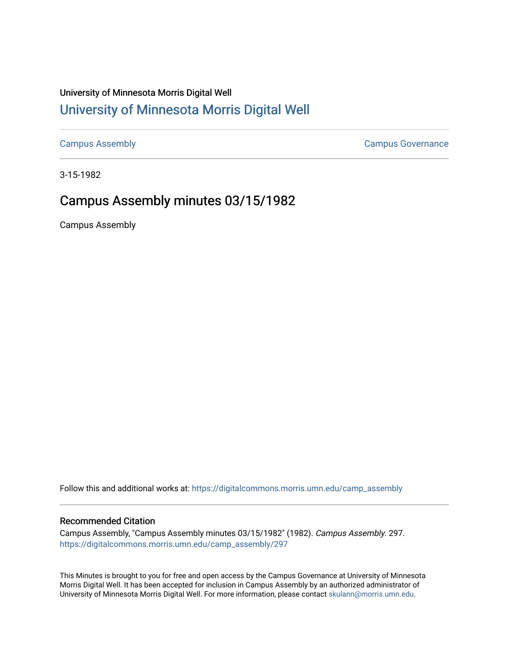## University of Minnesota Morris Digital Well [University of Minnesota Morris Digital Well](https://digitalcommons.morris.umn.edu/)

[Campus Assembly](https://digitalcommons.morris.umn.edu/camp_assembly) [Campus Governance](https://digitalcommons.morris.umn.edu/campgov) 

3-15-1982

## Campus Assembly minutes 03/15/1982

Campus Assembly

Follow this and additional works at: [https://digitalcommons.morris.umn.edu/camp\\_assembly](https://digitalcommons.morris.umn.edu/camp_assembly?utm_source=digitalcommons.morris.umn.edu%2Fcamp_assembly%2F297&utm_medium=PDF&utm_campaign=PDFCoverPages) 

## Recommended Citation

Campus Assembly, "Campus Assembly minutes 03/15/1982" (1982). Campus Assembly. 297. [https://digitalcommons.morris.umn.edu/camp\\_assembly/297](https://digitalcommons.morris.umn.edu/camp_assembly/297?utm_source=digitalcommons.morris.umn.edu%2Fcamp_assembly%2F297&utm_medium=PDF&utm_campaign=PDFCoverPages) 

This Minutes is brought to you for free and open access by the Campus Governance at University of Minnesota Morris Digital Well. It has been accepted for inclusion in Campus Assembly by an authorized administrator of University of Minnesota Morris Digital Well. For more information, please contact [skulann@morris.umn.edu](mailto:skulann@morris.umn.edu).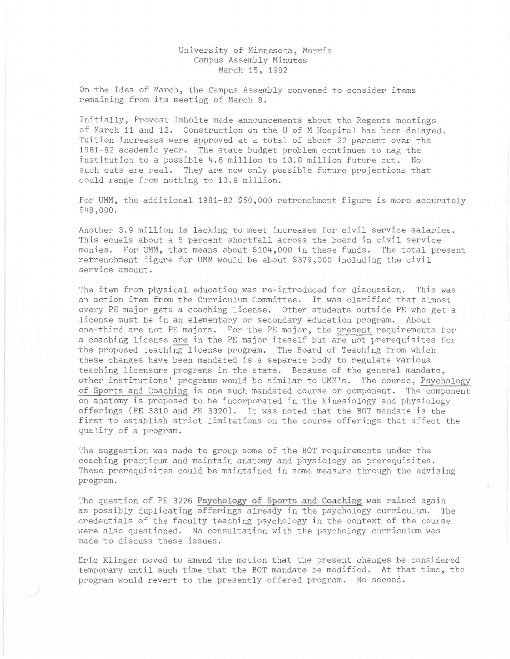## University of Minnesota, Morris Campus Assembly Minutes March 15, 1982

On the Ides of March, the Campus Assembly convened to consider items remaining from its meeting of March 8.

Initially, Provost Imholte made announcements about the Regents meetings of March 11 and 12. Construction on the U of M Hospital has been delayed. Tuition increases were approved at a total of about 22 percent over the 1981-82 academic year. The state budget problem continues to nag the institution to a possible 4.6 million to 13.8 million future cut. No such cuts are real. They are now only possible future projections that could range from nothing to 13.8 million.

For UMM, the additional 1981-82 \$50,000 retrenchment figure is more accurately \$48,000.

Another 3.9 million is lacking to meet increases for civil service salaries. This equals about a 5 percent shortfall across the board in civil service monies. For UMM, that means about \$104,000 in these funds. The total present retrenchment figure for UMM would be about \$379,000 including the civil service amount.

The item from physical education was re-introduced for discussion. This was an action item from the Curriculum Committee. It was clarified that almost every PE major gets a coaching license. Other students outside PE who get a license must be in an elementary or secondary education program. About one-third are not PE majors. For the PE major, the present requirements for a coaching license are in the PE major iteself but are not prerequisites for the proposed teaching license program. The Board of Teaching from which these changes have been mandated is a separate body to regulate various teaching licensure programs in the state. Because of the general mandate, other institutions' programs would be similar to UMM's. The course, Psychology of Sports and Coaching is one such mandated course or component. The component on anatomy is proposed to be incorporated in the kinesiology and physiology offerings (PE 3310 and PE 3320). It was noted that the BOT mandate is the first to establish strict limitations on the course offerings that affect the quality of a program.

The suggestion was made to group some of the BOT requirements under the coaching practicum and maintain anatomy and physiology as prerequisites. These prerequisites could be maintained in some measure through the advising program.

The question of PE 3226 Psychology of Sports and Coaching was raised again as possibly duplicating offerings already in the psychology curriculum. The credentials of the faculty teaching psychology in the context of the course were also questioned. No consultation with the psychology curriculum was made to discuss these issues.

Eric Klinger moved to amend the motion that the present changes be considered temporary until such time that the BOT mandate be modified. At that time, the program would revert to the presently offered program. No second.